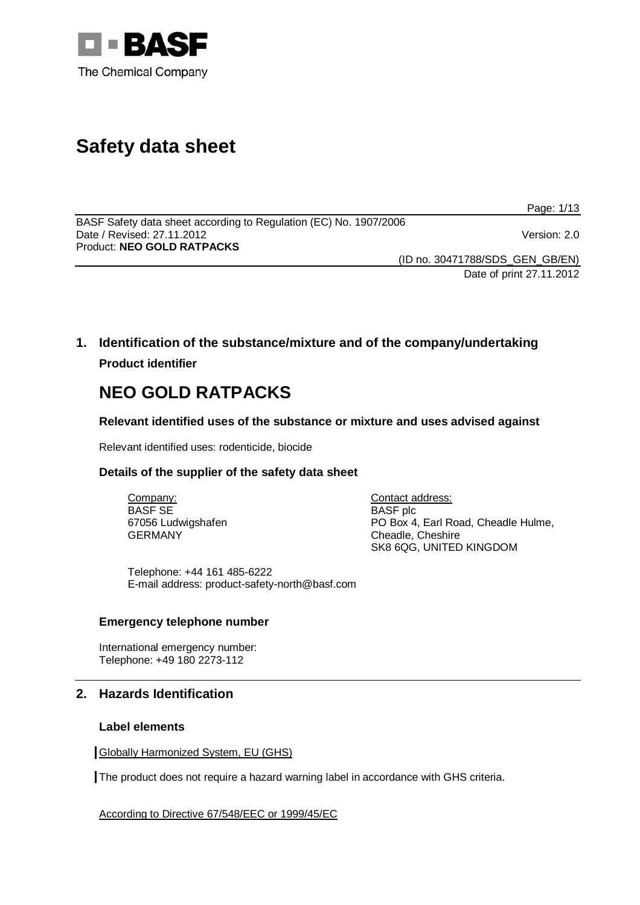

# **Safety data sheet**

Page: 1/13

BASF Safety data sheet according to Regulation (EC) No. 1907/2006 Date / Revised: 27.11.2012 Version: 2.0 Product: **NEO GOLD RATPACKS** 

(ID no. 30471788/SDS\_GEN\_GB/EN)

Date of print 27.11.2012

**1. Identification of the substance/mixture and of the company/undertaking Product identifier**

# **NEO GOLD RATPACKS**

**Relevant identified uses of the substance or mixture and uses advised against**

Relevant identified uses: rodenticide, biocide

## **Details of the supplier of the safety data sheet**

Company: BASF SE 67056 Ludwigshafen GERMANY

Contact address: BASF plc PO Box 4, Earl Road, Cheadle Hulme, Cheadle, Cheshire SK8 6QG, UNITED KINGDOM

Telephone: +44 161 485-6222 E-mail address: product-safety-north@basf.com

#### **Emergency telephone number**

International emergency number: Telephone: +49 180 2273-112

## **2. Hazards Identification**

#### **Label elements**

Globally Harmonized System, EU (GHS)

The product does not require a hazard warning label in accordance with GHS criteria.

According to Directive 67/548/EEC or 1999/45/EC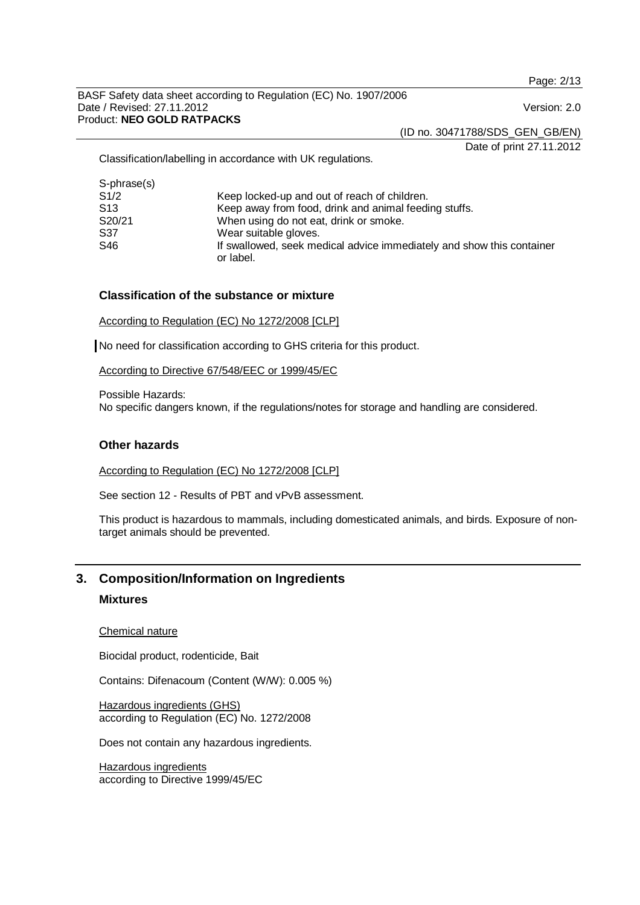Page: 2/13

BASF Safety data sheet according to Regulation (EC) No. 1907/2006 Date / Revised: 27.11.2012 **Date / Revised: 27.11.2012** Version: 2.0 Product: **NEO GOLD RATPACKS** 

(ID no. 30471788/SDS\_GEN\_GB/EN)

Date of print 27.11.2012

Classification/labelling in accordance with UK regulations.

| Keep locked-up and out of reach of children.                                       |
|------------------------------------------------------------------------------------|
| Keep away from food, drink and animal feeding stuffs.                              |
| When using do not eat, drink or smoke.                                             |
| Wear suitable gloves.                                                              |
| If swallowed, seek medical advice immediately and show this container<br>or label. |
|                                                                                    |

#### **Classification of the substance or mixture**

According to Regulation (EC) No 1272/2008 [CLP]

No need for classification according to GHS criteria for this product.

According to Directive 67/548/EEC or 1999/45/EC

Possible Hazards: No specific dangers known, if the regulations/notes for storage and handling are considered.

#### **Other hazards**

According to Regulation (EC) No 1272/2008 [CLP]

See section 12 - Results of PBT and vPvB assessment.

This product is hazardous to mammals, including domesticated animals, and birds. Exposure of nontarget animals should be prevented.

# **3. Composition/Information on Ingredients**

## **Mixtures**

Chemical nature

Biocidal product, rodenticide, Bait

Contains: Difenacoum (Content (W/W): 0.005 %)

Hazardous ingredients (GHS) according to Regulation (EC) No. 1272/2008

Does not contain any hazardous ingredients.

Hazardous ingredients according to Directive 1999/45/EC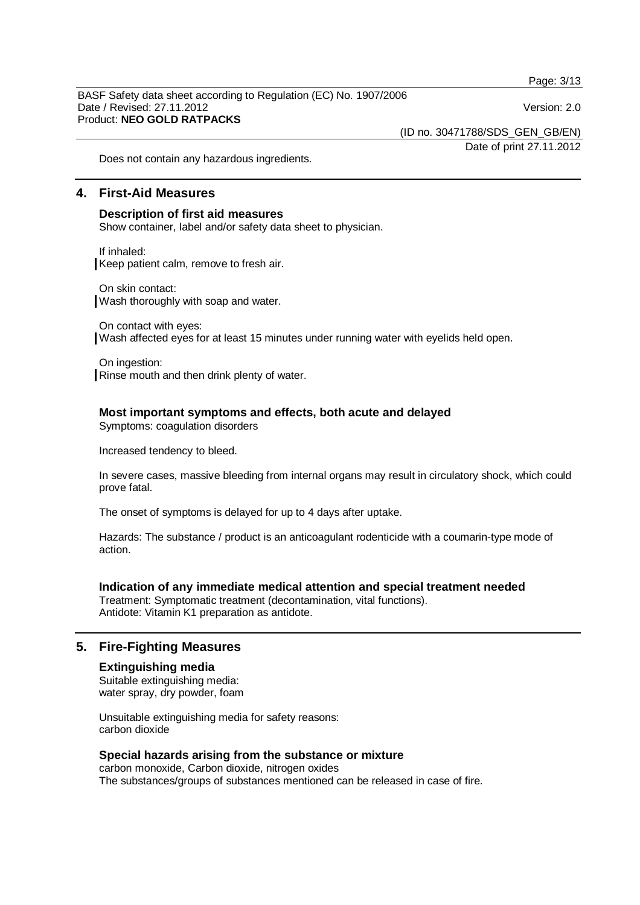Page: 3/13

BASF Safety data sheet according to Regulation (EC) No. 1907/2006 Date / Revised: 27.11.2012 **Date / Revised: 27.11.2012** Version: 2.0 Product: **NEO GOLD RATPACKS** 

(ID no. 30471788/SDS\_GEN\_GB/EN)

Date of print 27.11.2012

Does not contain any hazardous ingredients.

# **4. First-Aid Measures**

#### **Description of first aid measures**

Show container, label and/or safety data sheet to physician.

If inhaled: Keep patient calm, remove to fresh air.

On skin contact: Wash thoroughly with soap and water.

On contact with eyes: Wash affected eyes for at least 15 minutes under running water with eyelids held open.

On ingestion: Rinse mouth and then drink plenty of water.

#### **Most important symptoms and effects, both acute and delayed**

Symptoms: coagulation disorders

Increased tendency to bleed.

In severe cases, massive bleeding from internal organs may result in circulatory shock, which could prove fatal.

The onset of symptoms is delayed for up to 4 days after uptake.

Hazards: The substance / product is an anticoagulant rodenticide with a coumarin-type mode of action.

#### **Indication of any immediate medical attention and special treatment needed**

Treatment: Symptomatic treatment (decontamination, vital functions). Antidote: Vitamin K1 preparation as antidote.

## **5. Fire-Fighting Measures**

#### **Extinguishing media**

Suitable extinguishing media: water spray, dry powder, foam

Unsuitable extinguishing media for safety reasons: carbon dioxide

#### **Special hazards arising from the substance or mixture**

carbon monoxide, Carbon dioxide, nitrogen oxides The substances/groups of substances mentioned can be released in case of fire.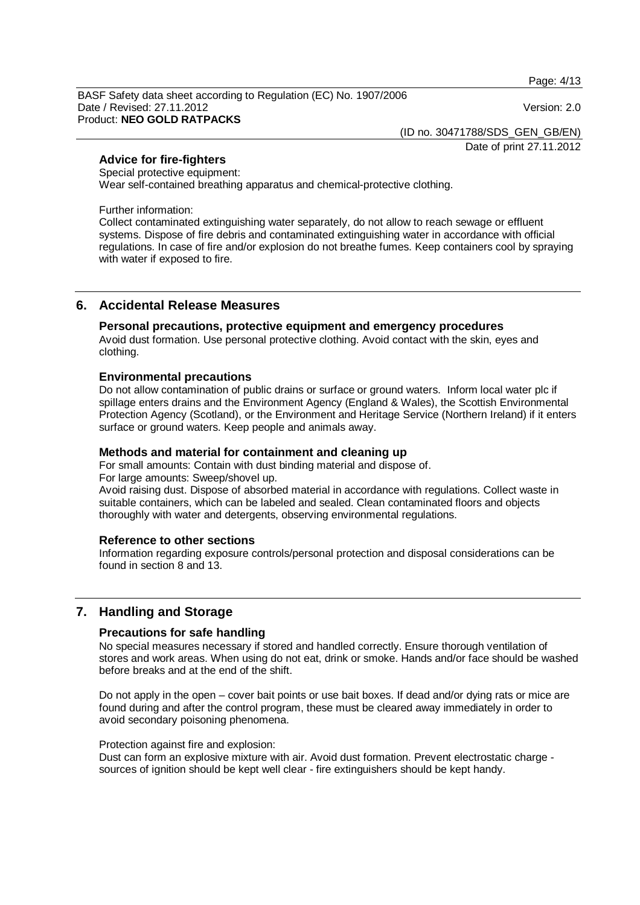Page: 4/13

BASF Safety data sheet according to Regulation (EC) No. 1907/2006 Date / Revised: 27.11.2012 **Date / Revised: 27.11.2012** Version: 2.0 Product: **NEO GOLD RATPACKS** 

(ID no. 30471788/SDS\_GEN\_GB/EN)

Date of print 27.11.2012

## **Advice for fire-fighters**

Special protective equipment:

Wear self-contained breathing apparatus and chemical-protective clothing.

Further information:

Collect contaminated extinguishing water separately, do not allow to reach sewage or effluent systems. Dispose of fire debris and contaminated extinguishing water in accordance with official regulations. In case of fire and/or explosion do not breathe fumes. Keep containers cool by spraying with water if exposed to fire.

## **6. Accidental Release Measures**

#### **Personal precautions, protective equipment and emergency procedures**

Avoid dust formation. Use personal protective clothing. Avoid contact with the skin, eyes and clothing.

#### **Environmental precautions**

Do not allow contamination of public drains or surface or ground waters. Inform local water plc if spillage enters drains and the Environment Agency (England & Wales), the Scottish Environmental Protection Agency (Scotland), or the Environment and Heritage Service (Northern Ireland) if it enters surface or ground waters. Keep people and animals away.

#### **Methods and material for containment and cleaning up**

For small amounts: Contain with dust binding material and dispose of.

For large amounts: Sweep/shovel up.

Avoid raising dust. Dispose of absorbed material in accordance with regulations. Collect waste in suitable containers, which can be labeled and sealed. Clean contaminated floors and objects thoroughly with water and detergents, observing environmental regulations.

#### **Reference to other sections**

Information regarding exposure controls/personal protection and disposal considerations can be found in section 8 and 13.

## **7. Handling and Storage**

#### **Precautions for safe handling**

No special measures necessary if stored and handled correctly. Ensure thorough ventilation of stores and work areas. When using do not eat, drink or smoke. Hands and/or face should be washed before breaks and at the end of the shift.

Do not apply in the open – cover bait points or use bait boxes. If dead and/or dying rats or mice are found during and after the control program, these must be cleared away immediately in order to avoid secondary poisoning phenomena.

#### Protection against fire and explosion:

Dust can form an explosive mixture with air. Avoid dust formation. Prevent electrostatic charge sources of ignition should be kept well clear - fire extinguishers should be kept handy.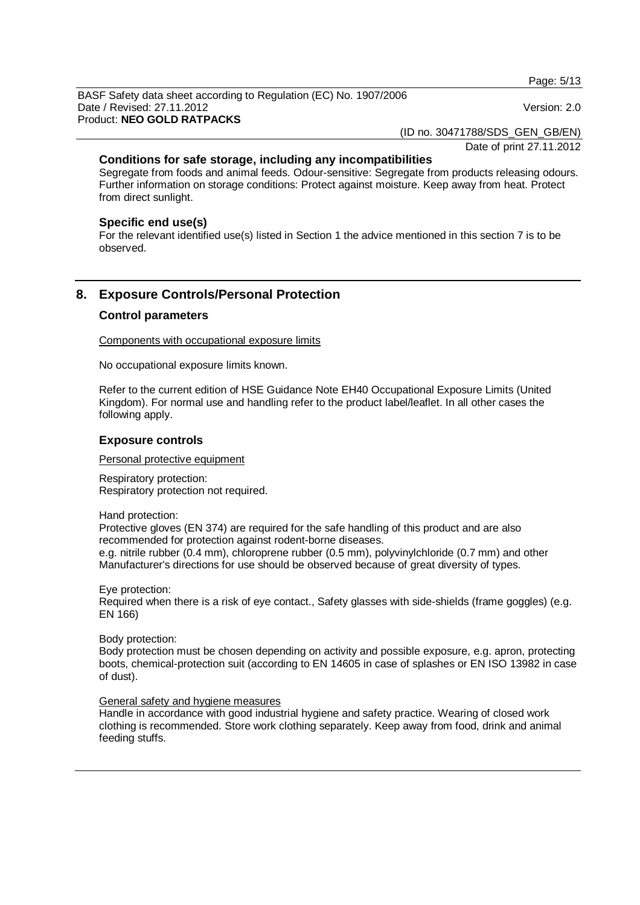Page: 5/13

BASF Safety data sheet according to Regulation (EC) No. 1907/2006 Date / Revised: 27.11.2012 **Date / Revised: 27.11.2012** Version: 2.0 Product: **NEO GOLD RATPACKS** 

(ID no. 30471788/SDS\_GEN\_GB/EN)

Date of print 27.11.2012

## **Conditions for safe storage, including any incompatibilities**

Segregate from foods and animal feeds. Odour-sensitive: Segregate from products releasing odours. Further information on storage conditions: Protect against moisture. Keep away from heat. Protect from direct sunlight.

#### **Specific end use(s)**

For the relevant identified use(s) listed in Section 1 the advice mentioned in this section 7 is to be observed.

# **8. Exposure Controls/Personal Protection**

## **Control parameters**

Components with occupational exposure limits

No occupational exposure limits known.

Refer to the current edition of HSE Guidance Note EH40 Occupational Exposure Limits (United Kingdom). For normal use and handling refer to the product label/leaflet. In all other cases the following apply.

#### **Exposure controls**

Personal protective equipment

Respiratory protection: Respiratory protection not required.

Hand protection:

Protective gloves (EN 374) are required for the safe handling of this product and are also recommended for protection against rodent-borne diseases. e.g. nitrile rubber (0.4 mm), chloroprene rubber (0.5 mm), polyvinylchloride (0.7 mm) and other Manufacturer's directions for use should be observed because of great diversity of types.

Eye protection:

Required when there is a risk of eye contact., Safety glasses with side-shields (frame goggles) (e.g. EN 166)

Body protection:

Body protection must be chosen depending on activity and possible exposure, e.g. apron, protecting boots, chemical-protection suit (according to EN 14605 in case of splashes or EN ISO 13982 in case of dust).

#### General safety and hygiene measures

Handle in accordance with good industrial hygiene and safety practice. Wearing of closed work clothing is recommended. Store work clothing separately. Keep away from food, drink and animal feeding stuffs.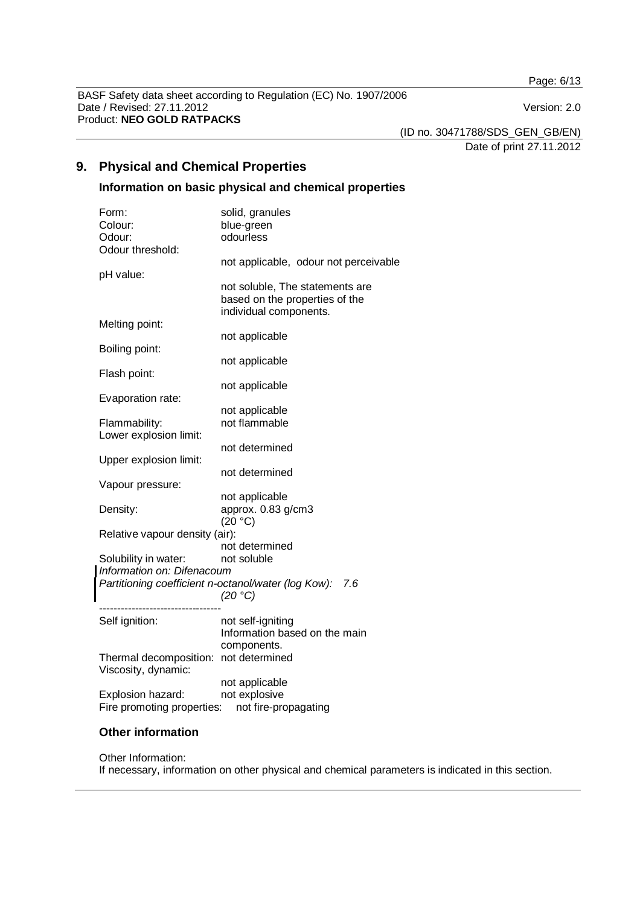Page: 6/13

BASF Safety data sheet according to Regulation (EC) No. 1907/2006 Date / Revised: 27.11.2012 <br>
Version: 2.0 Product: **NEO GOLD RATPACKS** 

(ID no. 30471788/SDS\_GEN\_GB/EN) Date of print 27.11.2012

# **9. Physical and Chemical Properties**

# **Information on basic physical and chemical properties**

|                                                     | Form:                                 | solid, granules                                    |  |
|-----------------------------------------------------|---------------------------------------|----------------------------------------------------|--|
|                                                     | Colour:                               | blue-green                                         |  |
|                                                     | Odour:                                | odourless                                          |  |
|                                                     | Odour threshold:                      |                                                    |  |
|                                                     |                                       | not applicable, odour not perceivable              |  |
|                                                     | pH value:                             |                                                    |  |
|                                                     |                                       | not soluble, The statements are                    |  |
|                                                     |                                       | based on the properties of the                     |  |
|                                                     |                                       | individual components.                             |  |
|                                                     | Melting point:                        |                                                    |  |
|                                                     |                                       | not applicable                                     |  |
|                                                     | Boiling point:                        |                                                    |  |
|                                                     |                                       |                                                    |  |
|                                                     |                                       | not applicable                                     |  |
|                                                     | Flash point:                          |                                                    |  |
|                                                     |                                       | not applicable                                     |  |
|                                                     | Evaporation rate:                     |                                                    |  |
|                                                     |                                       | not applicable                                     |  |
|                                                     | Flammability:                         | not flammable                                      |  |
|                                                     | Lower explosion limit:                |                                                    |  |
|                                                     |                                       | not determined                                     |  |
|                                                     | Upper explosion limit:                |                                                    |  |
|                                                     |                                       | not determined                                     |  |
|                                                     | Vapour pressure:                      |                                                    |  |
|                                                     |                                       | not applicable                                     |  |
|                                                     | Density:                              | approx. 0.83 g/cm3                                 |  |
|                                                     |                                       | (20 °C)                                            |  |
| Relative vapour density (air):                      |                                       |                                                    |  |
|                                                     |                                       | not determined                                     |  |
|                                                     | Solubility in water:                  | not soluble                                        |  |
| Information on: Difenacoum                          |                                       |                                                    |  |
| Partitioning coefficient n-octanol/water (log Kow): |                                       | 7.6                                                |  |
|                                                     |                                       | (20 °C)                                            |  |
|                                                     |                                       |                                                    |  |
|                                                     | Self ignition:                        |                                                    |  |
|                                                     |                                       | not self-igniting<br>Information based on the main |  |
|                                                     |                                       |                                                    |  |
|                                                     |                                       | components.                                        |  |
|                                                     | Thermal decomposition: not determined |                                                    |  |
|                                                     | Viscosity, dynamic:                   |                                                    |  |
|                                                     |                                       | not applicable                                     |  |
|                                                     | Explosion hazard:                     | not explosive                                      |  |
|                                                     | Fire promoting properties:            | not fire-propagating                               |  |

## **Other information**

#### Other Information:

If necessary, information on other physical and chemical parameters is indicated in this section.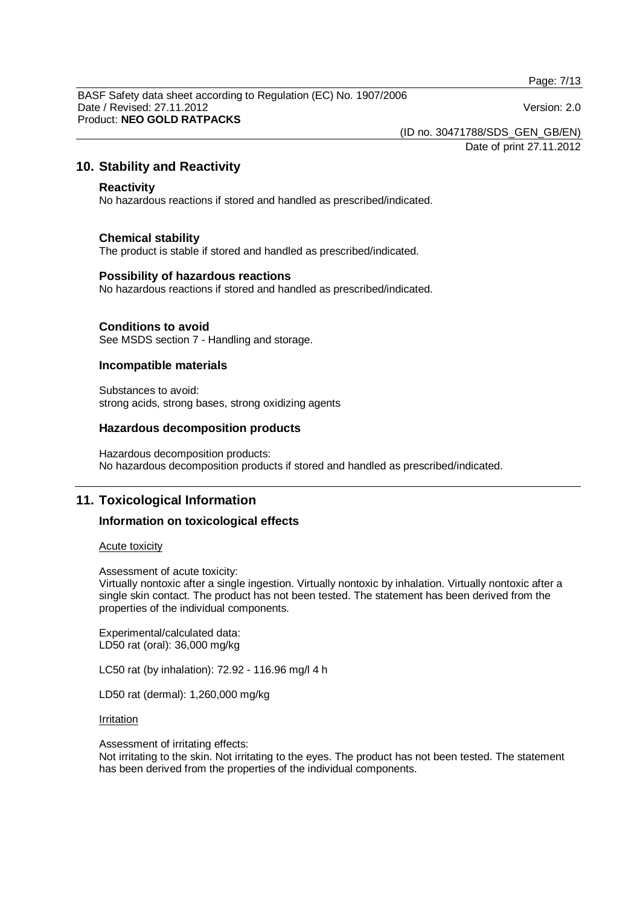Page: 7/13

BASF Safety data sheet according to Regulation (EC) No. 1907/2006 Date / Revised: 27.11.2012 Version: 2.0 Product: **NEO GOLD RATPACKS** 

(ID no. 30471788/SDS\_GEN\_GB/EN)

Date of print 27.11.2012

## **10. Stability and Reactivity**

#### **Reactivity**

No hazardous reactions if stored and handled as prescribed/indicated.

#### **Chemical stability**

The product is stable if stored and handled as prescribed/indicated.

#### **Possibility of hazardous reactions**

No hazardous reactions if stored and handled as prescribed/indicated.

#### **Conditions to avoid**

See MSDS section 7 - Handling and storage.

#### **Incompatible materials**

Substances to avoid: strong acids, strong bases, strong oxidizing agents

#### **Hazardous decomposition products**

Hazardous decomposition products: No hazardous decomposition products if stored and handled as prescribed/indicated.

## **11. Toxicological Information**

#### **Information on toxicological effects**

#### Acute toxicity

Assessment of acute toxicity:

Virtually nontoxic after a single ingestion. Virtually nontoxic by inhalation. Virtually nontoxic after a single skin contact. The product has not been tested. The statement has been derived from the properties of the individual components.

Experimental/calculated data: LD50 rat (oral): 36,000 mg/kg

LC50 rat (by inhalation): 72.92 - 116.96 mg/l 4 h

LD50 rat (dermal): 1,260,000 mg/kg

**Irritation** 

Assessment of irritating effects:

Not irritating to the skin. Not irritating to the eyes. The product has not been tested. The statement has been derived from the properties of the individual components.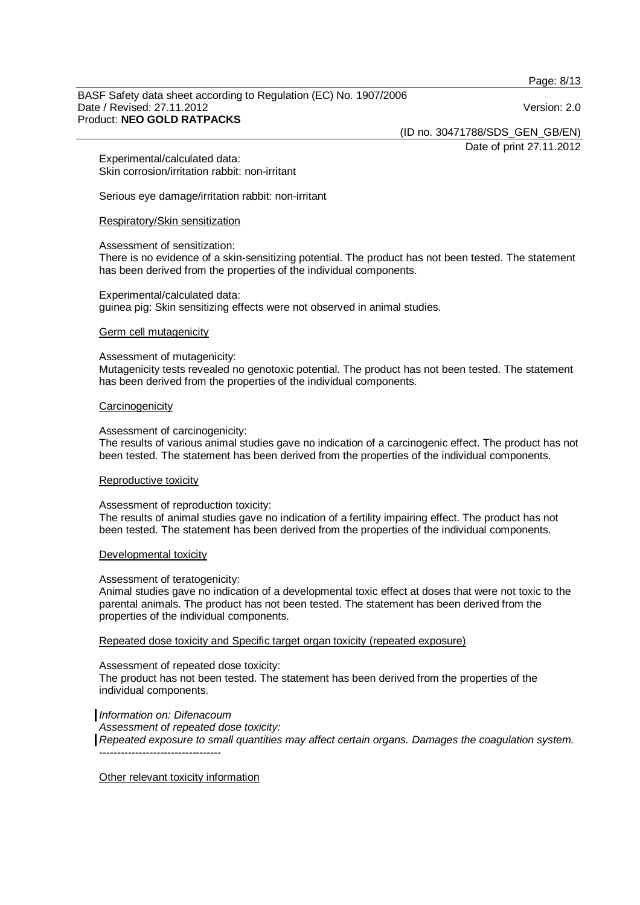Page: 8/13

BASF Safety data sheet according to Regulation (EC) No. 1907/2006 Date / Revised: 27.11.2012 **Date / Revised: 27.11.2012** Version: 2.0 Product: **NEO GOLD RATPACKS** 

(ID no. 30471788/SDS\_GEN\_GB/EN)

Date of print 27.11.2012

Experimental/calculated data: Skin corrosion/irritation rabbit: non-irritant

Serious eye damage/irritation rabbit: non-irritant

Respiratory/Skin sensitization

#### Assessment of sensitization:

There is no evidence of a skin-sensitizing potential. The product has not been tested. The statement has been derived from the properties of the individual components.

# Experimental/calculated data:

guinea pig: Skin sensitizing effects were not observed in animal studies.

#### Germ cell mutagenicity

#### Assessment of mutagenicity:

Mutagenicity tests revealed no genotoxic potential. The product has not been tested. The statement has been derived from the properties of the individual components.

#### **Carcinogenicity**

Assessment of carcinogenicity:

The results of various animal studies gave no indication of a carcinogenic effect. The product has not been tested. The statement has been derived from the properties of the individual components.

#### Reproductive toxicity

Assessment of reproduction toxicity:

The results of animal studies gave no indication of a fertility impairing effect. The product has not been tested. The statement has been derived from the properties of the individual components.

#### Developmental toxicity

Assessment of teratogenicity:

Animal studies gave no indication of a developmental toxic effect at doses that were not toxic to the parental animals. The product has not been tested. The statement has been derived from the properties of the individual components.

#### Repeated dose toxicity and Specific target organ toxicity (repeated exposure)

Assessment of repeated dose toxicity: The product has not been tested. The statement has been derived from the properties of the individual components.

#### *Information on: Difenacoum*

*Assessment of repeated dose toxicity: Repeated exposure to small quantities may affect certain organs. Damages the coagulation system.*  ----------------------------------

Other relevant toxicity information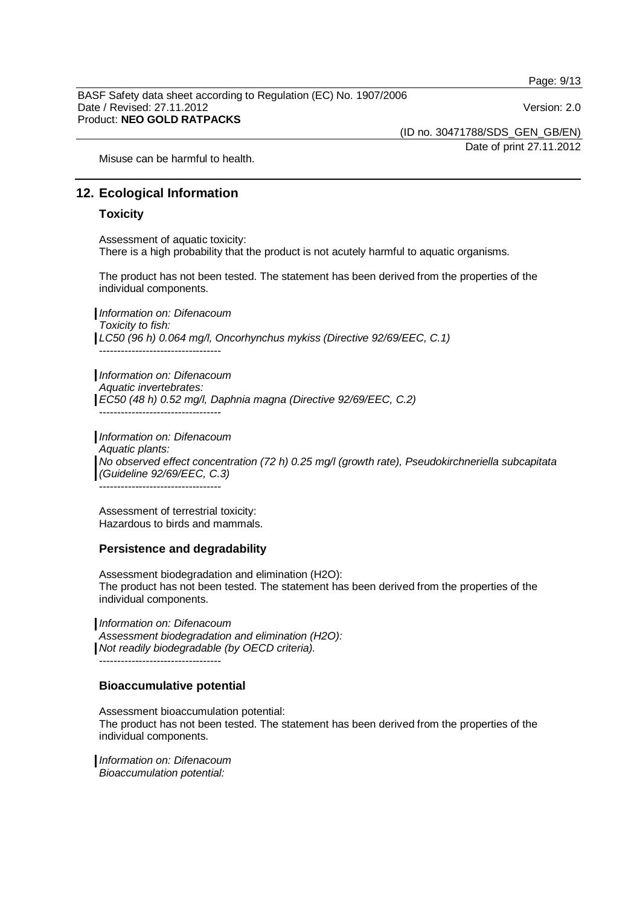Page: 9/13

BASF Safety data sheet according to Regulation (EC) No. 1907/2006 Date / Revised: 27.11.2012 Version: 2.0 Product: **NEO GOLD RATPACKS** 

(ID no. 30471788/SDS\_GEN\_GB/EN)

Date of print 27.11.2012

Misuse can be harmful to health.

## **12. Ecological Information**

#### **Toxicity**

Assessment of aquatic toxicity: There is a high probability that the product is not acutely harmful to aquatic organisms.

The product has not been tested. The statement has been derived from the properties of the individual components.

*Information on: Difenacoum Toxicity to fish: LC50 (96 h) 0.064 mg/l, Oncorhynchus mykiss (Directive 92/69/EEC, C.1)*  ----------------------------------

*Information on: Difenacoum Aquatic invertebrates: EC50 (48 h) 0.52 mg/l, Daphnia magna (Directive 92/69/EEC, C.2)*   $-$ 

*Information on: Difenacoum Aquatic plants: No observed effect concentration (72 h) 0.25 mg/l (growth rate), Pseudokirchneriella subcapitata (Guideline 92/69/EEC, C.3)*  ----------------------------------

Assessment of terrestrial toxicity: Hazardous to birds and mammals.

#### **Persistence and degradability**

Assessment biodegradation and elimination (H2O): The product has not been tested. The statement has been derived from the properties of the individual components.

*Information on: Difenacoum Assessment biodegradation and elimination (H2O): Not readily biodegradable (by OECD criteria).*  ----------------------------------

#### **Bioaccumulative potential**

Assessment bioaccumulation potential: The product has not been tested. The statement has been derived from the properties of the individual components.

*Information on: Difenacoum Bioaccumulation potential:*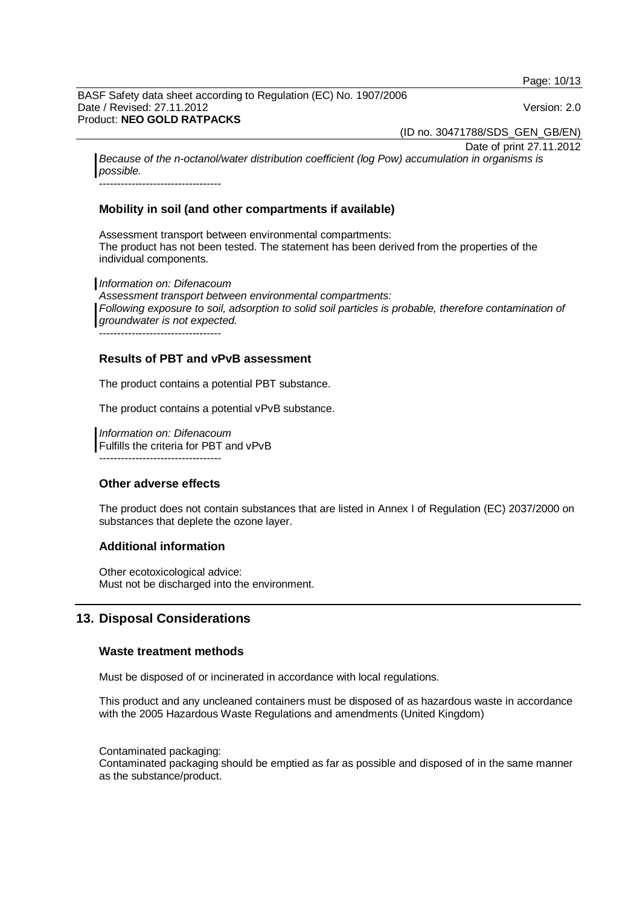Page: 10/13

BASF Safety data sheet according to Regulation (EC) No. 1907/2006 Date / Revised: 27.11.2012 Version: 2.0 Product: **NEO GOLD RATPACKS** 

(ID no. 30471788/SDS\_GEN\_GB/EN)

Date of print 27.11.2012

*Because of the n-octanol/water distribution coefficient (log Pow) accumulation in organisms is possible.* 

----------------------------------

## **Mobility in soil (and other compartments if available)**

Assessment transport between environmental compartments: The product has not been tested. The statement has been derived from the properties of the individual components.

*Information on: Difenacoum Assessment transport between environmental compartments:* Following exposure to soil, adsorption to solid soil particles is probable, therefore contamination of *groundwater is not expected.* ----------------------------------

**Results of PBT and vPvB assessment** 

The product contains a potential PBT substance.

The product contains a potential vPvB substance.

*Information on: Difenacoum*  Fulfills the criteria for PBT and vPvB *----------------------------------* 

#### **Other adverse effects**

The product does not contain substances that are listed in Annex I of Regulation (EC) 2037/2000 on substances that deplete the ozone layer.

#### **Additional information**

Other ecotoxicological advice: Must not be discharged into the environment.

# **13. Disposal Considerations**

#### **Waste treatment methods**

Must be disposed of or incinerated in accordance with local regulations.

This product and any uncleaned containers must be disposed of as hazardous waste in accordance with the 2005 Hazardous Waste Regulations and amendments (United Kingdom)

Contaminated packaging:

Contaminated packaging should be emptied as far as possible and disposed of in the same manner as the substance/product.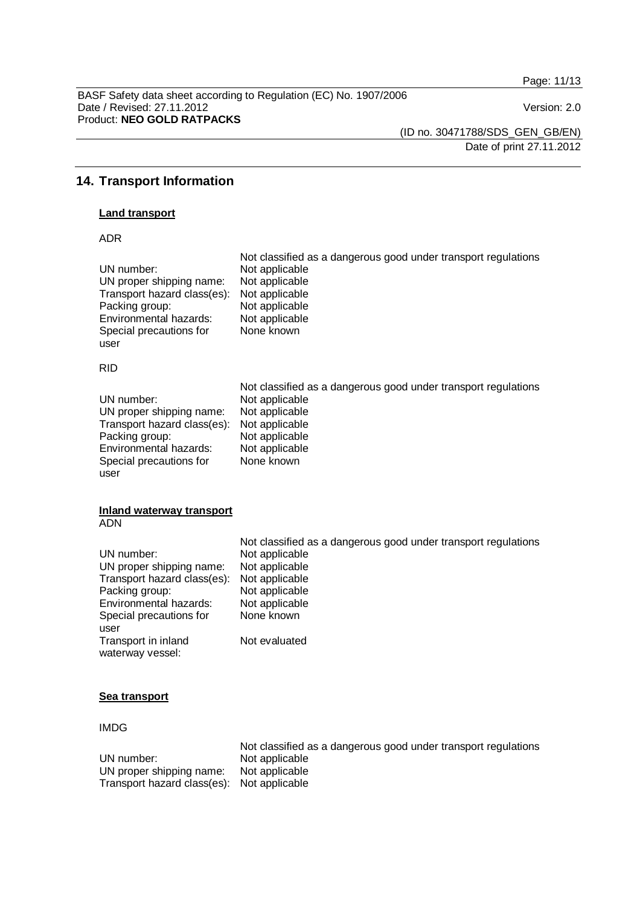Page: 11/13

BASF Safety data sheet according to Regulation (EC) No. 1907/2006 Date / Revised: 27.11.2012 <br>
Version: 2.0 Product: **NEO GOLD RATPACKS** 

(ID no. 30471788/SDS\_GEN\_GB/EN)

Date of print 27.11.2012

# **14. Transport Information**

#### **Land transport**

ADR

| UN number:<br>UN proper shipping name:<br>Transport hazard class(es):<br>Packing group:<br>Environmental hazards:<br>Special precautions for<br>user                                            | Not classified as a dangerous good under transport regulations<br>Not applicable<br>Not applicable<br>Not applicable<br>Not applicable<br>Not applicable<br>None known                  |
|-------------------------------------------------------------------------------------------------------------------------------------------------------------------------------------------------|-----------------------------------------------------------------------------------------------------------------------------------------------------------------------------------------|
| <b>RID</b>                                                                                                                                                                                      |                                                                                                                                                                                         |
| UN number:<br>UN proper shipping name:<br>Transport hazard class(es):<br>Packing group:<br>Environmental hazards:<br>Special precautions for<br>user                                            | Not classified as a dangerous good under transport regulations<br>Not applicable<br>Not applicable<br>Not applicable<br>Not applicable<br>Not applicable<br>None known                  |
| <b>Inland waterway transport</b><br><b>ADN</b>                                                                                                                                                  |                                                                                                                                                                                         |
| UN number:<br>UN proper shipping name:<br>Transport hazard class(es):<br>Packing group:<br>Environmental hazards:<br>Special precautions for<br>user<br>Transport in inland<br>waterway vessel: | Not classified as a dangerous good under transport regulations<br>Not applicable<br>Not applicable<br>Not applicable<br>Not applicable<br>Not applicable<br>None known<br>Not evaluated |

#### **Sea transport**

IMDG

|                                            | Not classified as a dangerous good under transport regulations |
|--------------------------------------------|----------------------------------------------------------------|
| UN number:                                 | Not applicable                                                 |
| UN proper shipping name:                   | Not applicable                                                 |
| Transport hazard class(es): Not applicable |                                                                |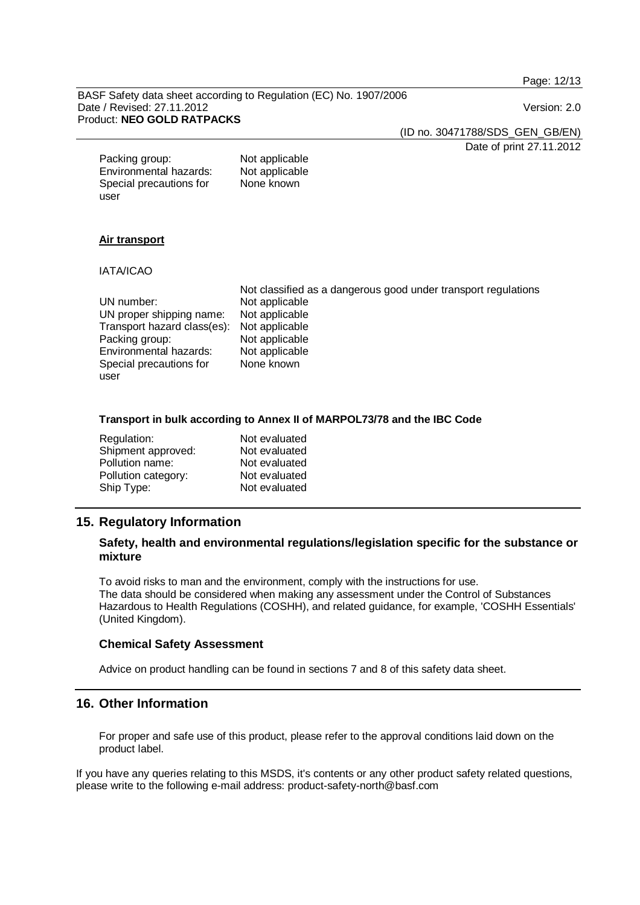Page: 12/13

BASF Safety data sheet according to Regulation (EC) No. 1907/2006 Date / Revised: 27.11.2012 **Date / Revised: 27.11.2012** Version: 2.0 Product: **NEO GOLD RATPACKS** 

(ID no. 30471788/SDS\_GEN\_GB/EN)

Date of print 27.11.2012

Packing group: Not applicable<br>
Environmental hazards: Not applicable Environmental hazards: Special precautions for user None known

#### **Air transport**

#### IATA/ICAO

|                             | Not classified as a dangerous good under transport regulations |
|-----------------------------|----------------------------------------------------------------|
| UN number:                  | Not applicable                                                 |
| UN proper shipping name:    | Not applicable                                                 |
| Transport hazard class(es): | Not applicable                                                 |
| Packing group:              | Not applicable                                                 |
| Environmental hazards:      | Not applicable                                                 |
| Special precautions for     | None known                                                     |
| user                        |                                                                |

#### **Transport in bulk according to Annex II of MARPOL73/78 and the IBC Code**

| Regulation:         | Not evaluated |
|---------------------|---------------|
| Shipment approved:  | Not evaluated |
| Pollution name:     | Not evaluated |
| Pollution category: | Not evaluated |
| Ship Type:          | Not evaluated |

# **15. Regulatory Information**

## **Safety, health and environmental regulations/legislation specific for the substance or mixture**

To avoid risks to man and the environment, comply with the instructions for use. The data should be considered when making any assessment under the Control of Substances Hazardous to Health Regulations (COSHH), and related guidance, for example, 'COSHH Essentials' (United Kingdom).

#### **Chemical Safety Assessment**

Advice on product handling can be found in sections 7 and 8 of this safety data sheet.

## **16. Other Information**

For proper and safe use of this product, please refer to the approval conditions laid down on the product label.

If you have any queries relating to this MSDS, it's contents or any other product safety related questions, please write to the following e-mail address: product-safety-north@basf.com